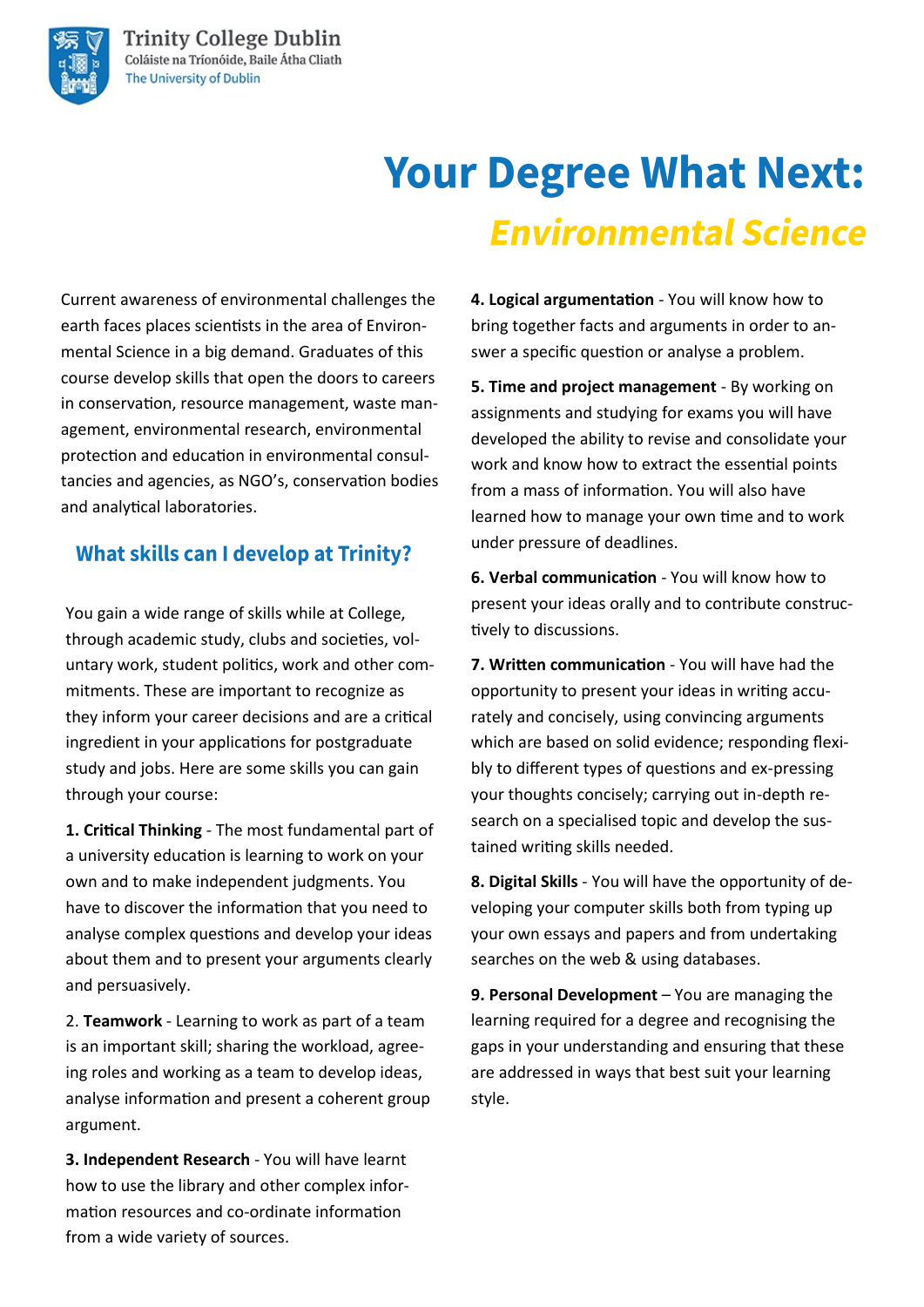# **Your Degree What Next: Environmental Science**

Current awareness of environmental challenges the earth faces places scientists in the area of Environmental Science in a big demand. Graduates of this course develop skills that open the doors to careers in conservation, resource management, waste management, environmental research, environmental protection and education in environmental consultancies and agencies, as NGO's, conservation bodies and analytical laboratories.

### **What skills can I develop at Trinity?**

You gain a wide range of skills while at College, through academic study, clubs and societies, voluntary work, student politics, work and other commitments. These are important to recognize as they inform your career decisions and are a critical ingredient in your applications for postgraduate study and jobs. Here are some skills you can gain through your course:

**1. Critical Thinking** - The most fundamental part of a university education is learning to work on your own and to make independent judgments. You have to discover the information that you need to analyse complex questions and develop your ideas about them and to present your arguments clearly and persuasively.

2. **Teamwork** - Learning to work as part of a team is an important skill; sharing the workload, agreeing roles and working as a team to develop ideas, analyse information and present a coherent group argument.

**3. Independent Research** - You will have learnt how to use the library and other complex information resources and co-ordinate information from a wide variety of sources.

**4. Logical argumentation** - You will know how to bring together facts and arguments in order to answer a specific question or analyse a problem.

**5. Time and project management** - By working on assignments and studying for exams you will have developed the ability to revise and consolidate your work and know how to extract the essential points from a mass of information. You will also have learned how to manage your own time and to work under pressure of deadlines.

**6. Verbal communication** - You will know how to present your ideas orally and to contribute constructively to discussions.

**7. Written communication** - You will have had the opportunity to present your ideas in writing accurately and concisely, using convincing arguments which are based on solid evidence; responding flexibly to different types of questions and ex-pressing your thoughts concisely; carrying out in-depth research on a specialised topic and develop the sustained writing skills needed.

**8. Digital Skills** - You will have the opportunity of developing your computer skills both from typing up your own essays and papers and from undertaking searches on the web & using databases.

**9. Personal Development** – You are managing the learning required for a degree and recognising the gaps in your understanding and ensuring that these are addressed in ways that best suit your learning style.